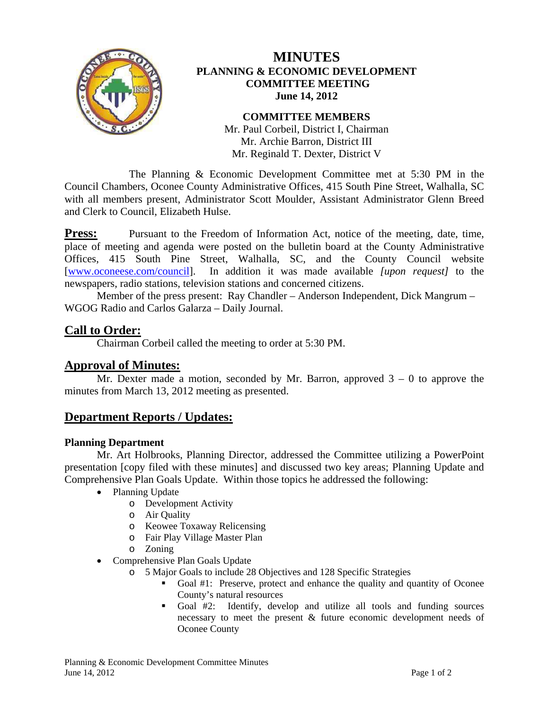

# **MINUTES PLANNING & ECONOMIC DEVELOPMENT COMMITTEE MEETING June 14, 2012**

#### **COMMITTEE MEMBERS**

Mr. Paul Corbeil, District I, Chairman Mr. Archie Barron, District III Mr. Reginald T. Dexter, District V

 The Planning & Economic Development Committee met at 5:30 PM in the Council Chambers, Oconee County Administrative Offices, 415 South Pine Street, Walhalla, SC with all members present, Administrator Scott Moulder, Assistant Administrator Glenn Breed and Clerk to Council, Elizabeth Hulse.

**Press:** Pursuant to the Freedom of Information Act, notice of the meeting, date, time, place of meeting and agenda were posted on the bulletin board at the County Administrative Offices, 415 South Pine Street, Walhalla, SC, and the County Council website [www.oconeese.com/council]. In addition it was made available *[upon request]* to the newspapers, radio stations, television stations and concerned citizens.

Member of the press present: Ray Chandler – Anderson Independent, Dick Mangrum – WGOG Radio and Carlos Galarza – Daily Journal.

### **Call to Order:**

Chairman Corbeil called the meeting to order at 5:30 PM.

# **Approval of Minutes:**

Mr. Dexter made a motion, seconded by Mr. Barron, approved  $3 - 0$  to approve the minutes from March 13, 2012 meeting as presented.

# **Department Reports / Updates:**

#### **Planning Department**

 Mr. Art Holbrooks, Planning Director, addressed the Committee utilizing a PowerPoint presentation [copy filed with these minutes] and discussed two key areas; Planning Update and Comprehensive Plan Goals Update. Within those topics he addressed the following:

- Planning Update
	- o Development Activity
	- o Air Quality
	- o Keowee Toxaway Relicensing
	- o Fair Play Village Master Plan
	- o Zoning
- Comprehensive Plan Goals Update
	- o 5 Major Goals to include 28 Objectives and 128 Specific Strategies
		- Goal #1: Preserve, protect and enhance the quality and quantity of Oconee County's natural resources
		- Goal #2: Identify, develop and utilize all tools and funding sources necessary to meet the present & future economic development needs of Oconee County